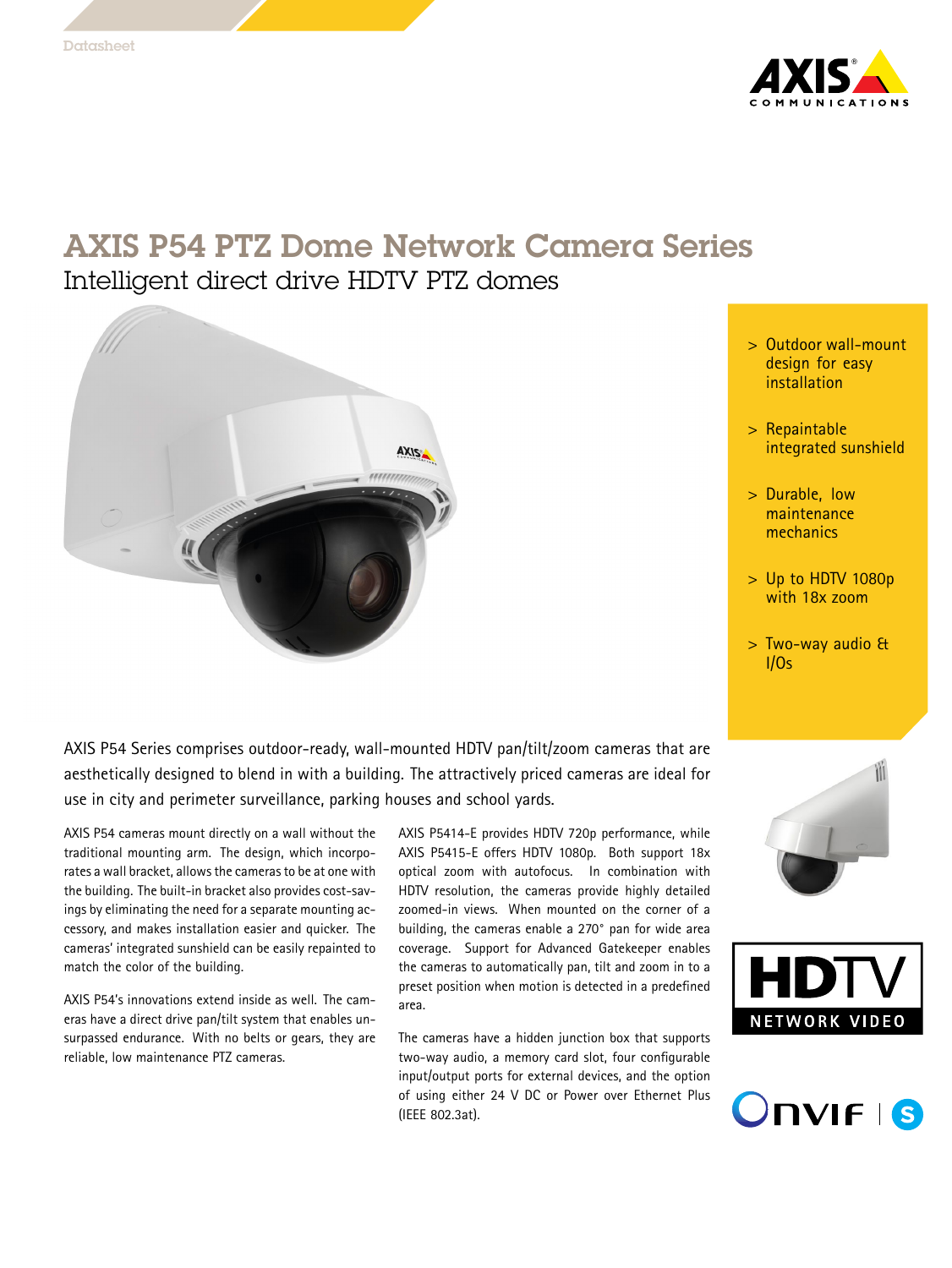

# AXIS P54 PTZ Dome Network Camera Series Intelligent direct drive HDTV PTZ domes



- <sup>&</sup>gt; Outdoor wall-mount design for easy installation
- <sup>&</sup>gt; Repaintable integrated sunshield
- <sup>&</sup>gt; Durable, low maintenance mechanics
- <sup>&</sup>gt; Up to HDTV 1080p with 18x zoom
- <sup>&</sup>gt; Two-way audio & I/Os

AXIS P54 Series comprises outdoor-ready, wall-mounted HDTV pan/tilt/zoom cameras that are aesthetically designed to blend in with <sup>a</sup> building. The attractively priced cameras are ideal for use in city and perimeter surveillance, parking houses and school yards.

AXIS P54 cameras mount directly on <sup>a</sup> wall without the traditional mounting arm. The design, which incorporates a wall bracket, allows the cameras to be at one with the building. The built-in bracket also provides cost-savings by eliminating the need for <sup>a</sup> separate mounting accessory, and makes installation easier and quicker. The cameras' integrated sunshield can be easily repainted to match the color of the building.

AXIS P54's innovations extend inside as well. The cameras have <sup>a</sup> direct drive pan/tilt system that enables unsurpassed endurance. With no belts or gears, they are reliable, low maintenance PTZ cameras.

AXIS P5414-E provides HDTV 720p performance, while AXIS P5415-E offers HDTV 1080p. Both support 18x optical zoom with autofocus. In combination with HDTV resolution, the cameras provide highly detailed zoomed-in views. When mounted on the corner of a building, the cameras enable <sup>a</sup> 270° pan for wide area coverage. Support for Advanced Gatekeeper enables the cameras to automatically pan, tilt and zoom in to <sup>a</sup> preset position when motion is detected in <sup>a</sup> predefined area.

The cameras have <sup>a</sup> hidden junction box that supports two-way audio, <sup>a</sup> memory card slot, four configurable input/output ports for external devices, and the option of using either 24 V DC or Power over Ethernet Plus (IEEE 802.3at).





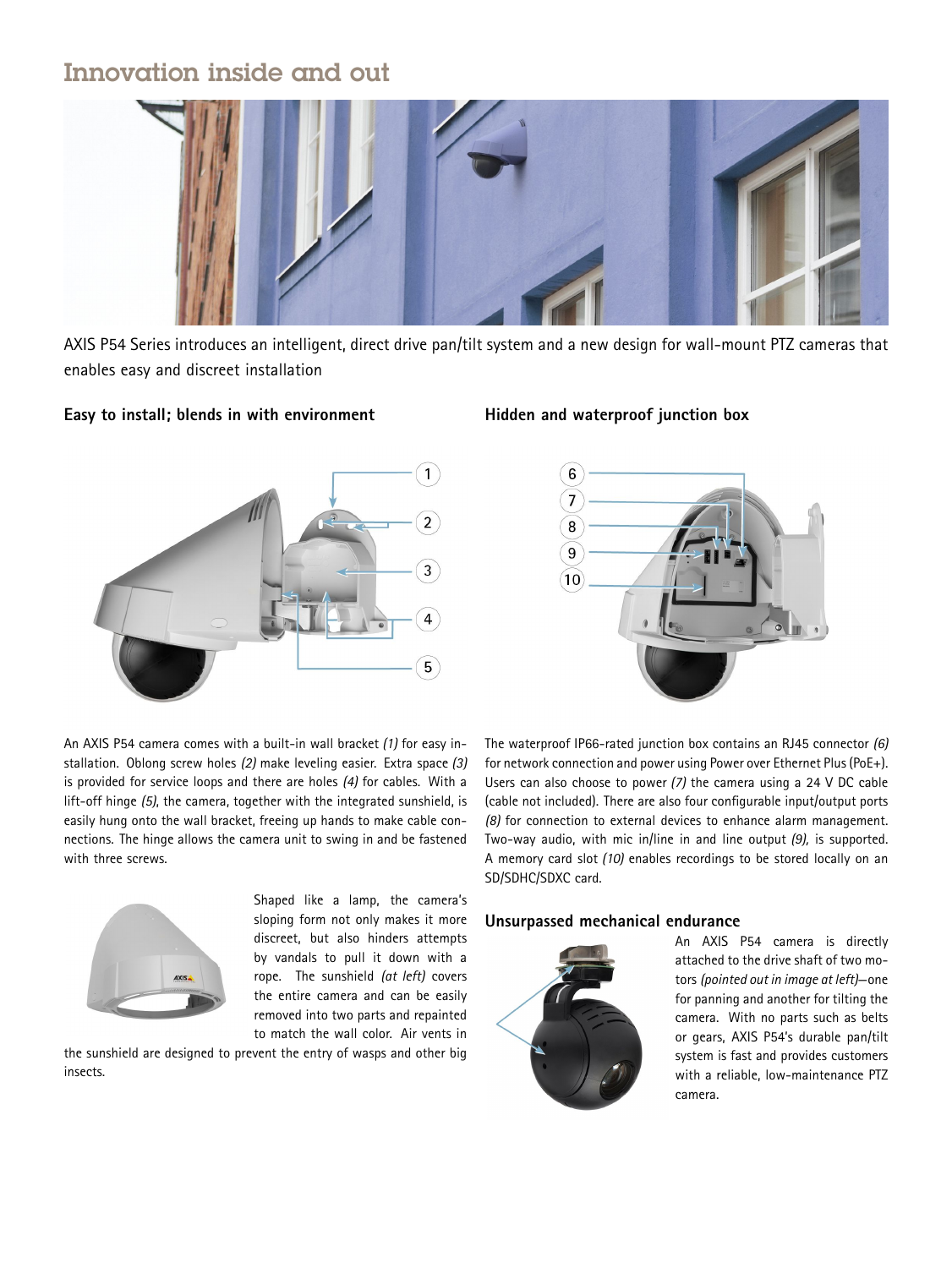# Innovation inside and out



AXIS P54 Series introduces an intelligent, direct drive pan/tilt system and <sup>a</sup> new design for wall-mount PTZ cameras that enables easy and discreet installation

### **Easy to install; blends in with environment**



An AXIS P54 camera comes with <sup>a</sup> built-in wall bracket *(1)* for easy installation. Oblong screw holes *(2)* make leveling easier. Extra space *(3)* is provided for service loops and there are holes *(4)* for cables. With <sup>a</sup> lift-off hinge *(5)*, the camera, together with the integrated sunshield, is easily hung onto the wall bracket, freeing up hands to make cable connections. The hinge allows the camera unit to swing in and be fastened with three screws.



Shaped like <sup>a</sup> lamp, the camera's sloping form not only makes it more discreet, but also hinders attempts by vandals to pull it down with <sup>a</sup> rope. The sunshield *(at left)* covers the entire camera and can be easily removed into two parts and repainted to match the wall color. Air vents in

the sunshield are designed to prevent the entry of wasps and other big insects.

### **Hidden and waterproof junction box**



The waterproof IP66-rated junction box contains an RJ45 connector *(6)* for network connection and power using Power over Ethernet Plus (PoE+). Users can also choose to power *(7)* the camera using <sup>a</sup> <sup>24</sup> V DC cable (cable not included). There are also four configurable input/output ports *(8)* for connection to external devices to enhance alarm management. Two-way audio, with mic in/line in and line output *(9),* is supported. A memory card slot *(10)* enables recordings to be stored locally on an SD/SDHC/SDXC card.

#### **Unsurpassed mechanical endurance**



An AXIS P54 camera is directly attached to the drive shaft of two motors *(pointed out in image at left)*—one for panning and another for tilting the camera. With no parts such as belts or gears, AXIS P54's durable pan/tilt system is fast and provides customers with <sup>a</sup> reliable, low-maintenance PTZ camera.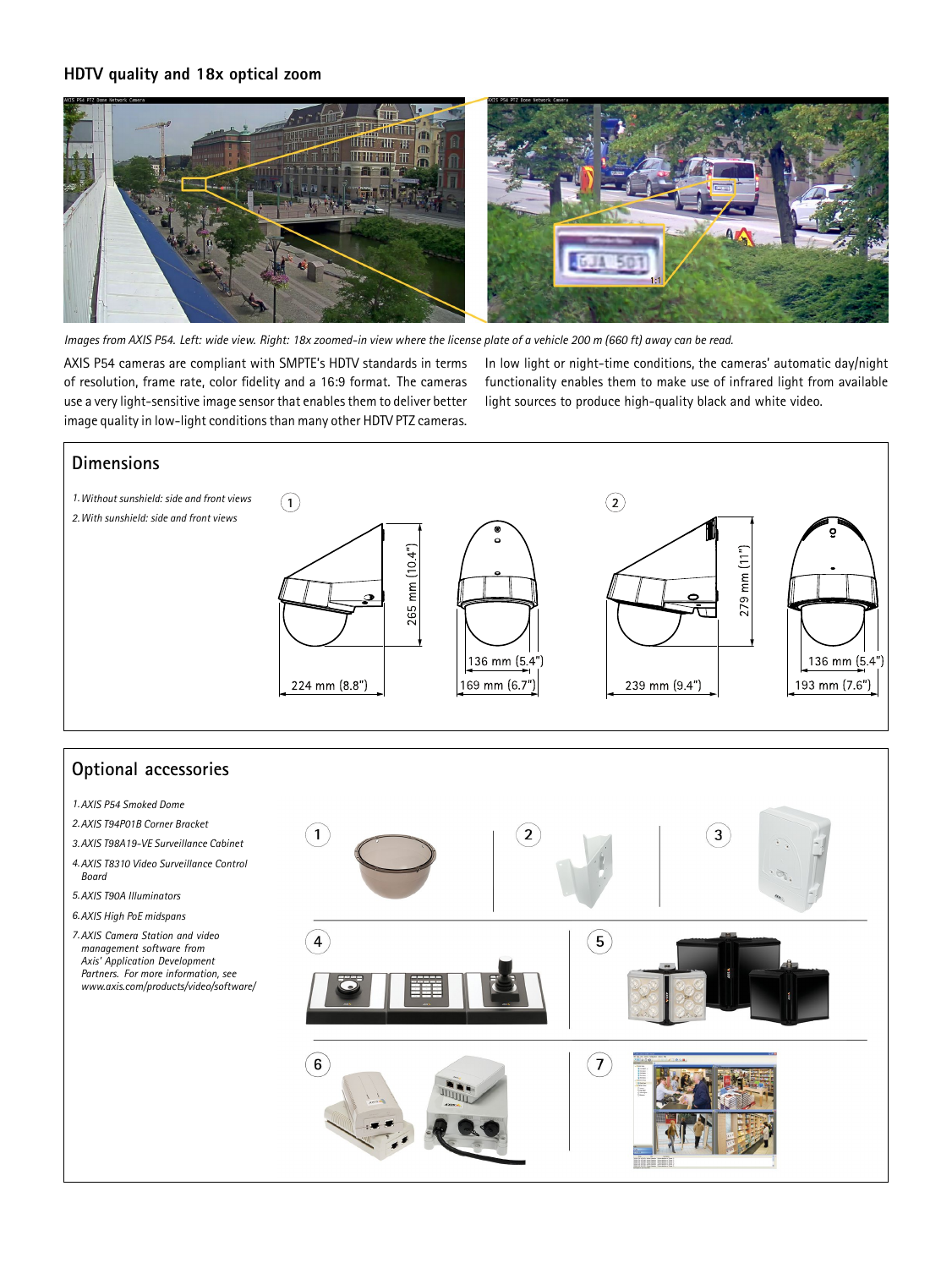### **HDTV quality and 18x optical zoom**



Images from AXIS P54. Left: wide view. Right: 18x zoomed-in view where the license plate of a vehicle 200 m (660 ft) away can be read.

AXIS P54 cameras are compliant with SMPTE's HDTV standards in terms of resolution, frame rate, color fidelity and <sup>a</sup> 16:9 format. The cameras use a very light-sensitive image sensor that enables them to deliver better image quality in low-light conditionsthan many other HDTV PTZ cameras. In low light or night-time conditions, the cameras' automatic day/night functionality enables them to make use of infrared light from available light sources to produce high-quality black and white video.



## **Optional accessories**

- *1.AXIS P54 Smoked Dome*
- *2.AXIS T94P01B Corner Bracket*
- *3.AXIS T98A19-VE Surveillance Cabinet*
- *4.AXIS T8310 Video Surveillance Control Board*
- *5.AXIS T90A Illuminators*
- *6.AXIS High PoE midspans*
- *7.AXIS Camera Station and video management software from Axis' Application Development Partners. For more information, see www.axis.com/products/video/software/*